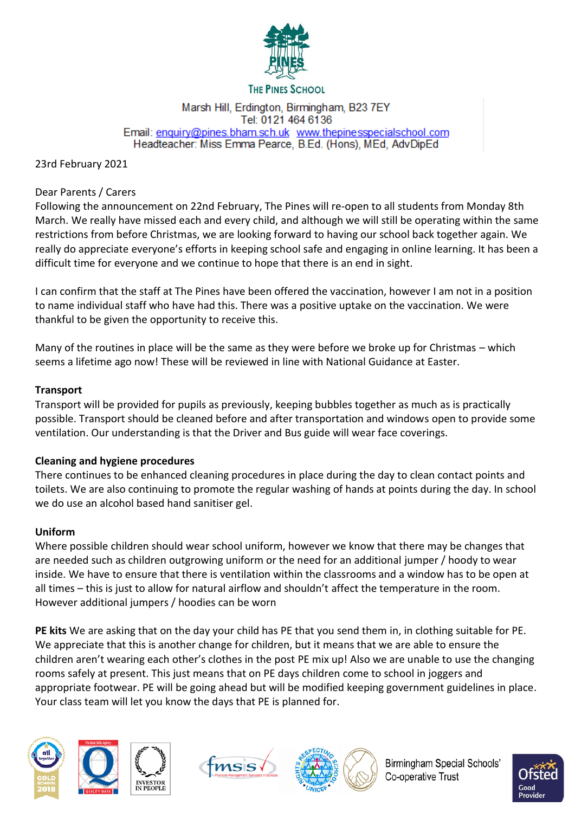

#### **THE PINES SCHOOL**

#### Marsh Hill, Erdington, Birmingham, B23 7EY Tel: 0121 464 6136 Email: enquiry@pines.bham.sch.uk www.thepinesspecialschool.com Headteacher: Miss Emma Pearce, B.Ed. (Hons), MEd, AdvDipEd

## 23rd February 2021

### Dear Parents / Carers

Following the announcement on 22nd February, The Pines will re-open to all students from Monday 8th March. We really have missed each and every child, and although we will still be operating within the same restrictions from before Christmas, we are looking forward to having our school back together again. We really do appreciate everyone's efforts in keeping school safe and engaging in online learning. It has been a difficult time for everyone and we continue to hope that there is an end in sight.

I can confirm that the staff at The Pines have been offered the vaccination, however I am not in a position to name individual staff who have had this. There was a positive uptake on the vaccination. We were thankful to be given the opportunity to receive this.

Many of the routines in place will be the same as they were before we broke up for Christmas – which seems a lifetime ago now! These will be reviewed in line with National Guidance at Easter.

## **Transport**

Transport will be provided for pupils as previously, keeping bubbles together as much as is practically possible. Transport should be cleaned before and after transportation and windows open to provide some ventilation. Our understanding is that the Driver and Bus guide will wear face coverings.

## **Cleaning and hygiene procedures**

There continues to be enhanced cleaning procedures in place during the day to clean contact points and toilets. We are also continuing to promote the regular washing of hands at points during the day. In school we do use an alcohol based hand sanitiser gel.

## **Uniform**

Where possible children should wear school uniform, however we know that there may be changes that are needed such as children outgrowing uniform or the need for an additional jumper / hoody to wear inside. We have to ensure that there is ventilation within the classrooms and a window has to be open at all times – this is just to allow for natural airflow and shouldn't affect the temperature in the room. However additional jumpers / hoodies can be worn

**PE kits** We are asking that on the day your child has PE that you send them in, in clothing suitable for PE. We appreciate that this is another change for children, but it means that we are able to ensure the children aren't wearing each other's clothes in the post PE mix up! Also we are unable to use the changing rooms safely at present. This just means that on PE days children come to school in joggers and appropriate footwear. PE will be going ahead but will be modified keeping government guidelines in place. Your class team will let you know the days that PE is planned for.









Birmingham Special Schools' Co-operative Trust

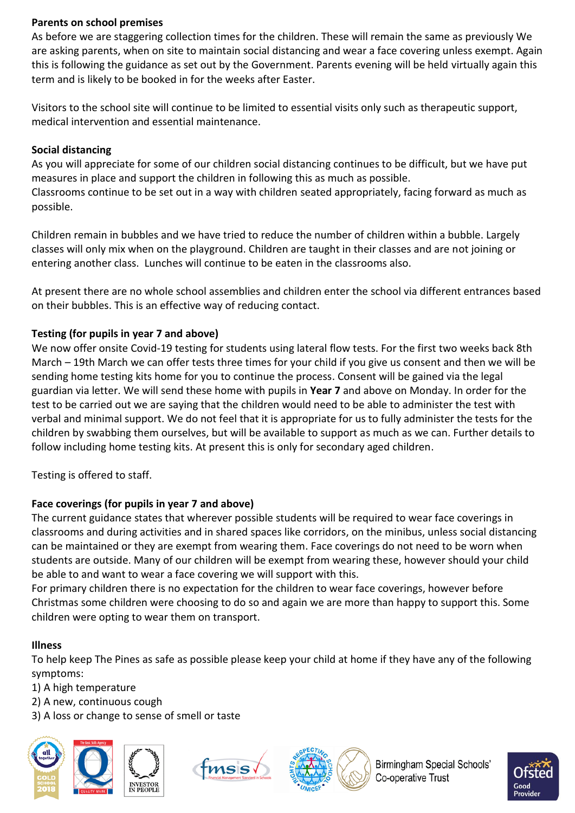## **Parents on school premises**

As before we are staggering collection times for the children. These will remain the same as previously We are asking parents, when on site to maintain social distancing and wear a face covering unless exempt. Again this is following the guidance as set out by the Government. Parents evening will be held virtually again this term and is likely to be booked in for the weeks after Easter.

Visitors to the school site will continue to be limited to essential visits only such as therapeutic support, medical intervention and essential maintenance.

# **Social distancing**

As you will appreciate for some of our children social distancing continues to be difficult, but we have put measures in place and support the children in following this as much as possible. Classrooms continue to be set out in a way with children seated appropriately, facing forward as much as possible.

Children remain in bubbles and we have tried to reduce the number of children within a bubble. Largely classes will only mix when on the playground. Children are taught in their classes and are not joining or entering another class. Lunches will continue to be eaten in the classrooms also.

At present there are no whole school assemblies and children enter the school via different entrances based on their bubbles. This is an effective way of reducing contact.

# **Testing (for pupils in year 7 and above)**

We now offer onsite Covid-19 testing for students using lateral flow tests. For the first two weeks back 8th March – 19th March we can offer tests three times for your child if you give us consent and then we will be sending home testing kits home for you to continue the process. Consent will be gained via the legal guardian via letter. We will send these home with pupils in **Year 7** and above on Monday. In order for the test to be carried out we are saying that the children would need to be able to administer the test with verbal and minimal support. We do not feel that it is appropriate for us to fully administer the tests for the children by swabbing them ourselves, but will be available to support as much as we can. Further details to follow including home testing kits. At present this is only for secondary aged children.

Testing is offered to staff.

# **Face coverings (for pupils in year 7 and above)**

The current guidance states that wherever possible students will be required to wear face coverings in classrooms and during activities and in shared spaces like corridors, on the minibus, unless social distancing can be maintained or they are exempt from wearing them. Face coverings do not need to be worn when students are outside. Many of our children will be exempt from wearing these, however should your child be able to and want to wear a face covering we will support with this.

For primary children there is no expectation for the children to wear face coverings, however before Christmas some children were choosing to do so and again we are more than happy to support this. Some children were opting to wear them on transport.

## **Illness**

To help keep The Pines as safe as possible please keep your child at home if they have any of the following symptoms:

- 1) A high temperature
- 2) A new, continuous cough
- 3) A loss or change to sense of smell or taste